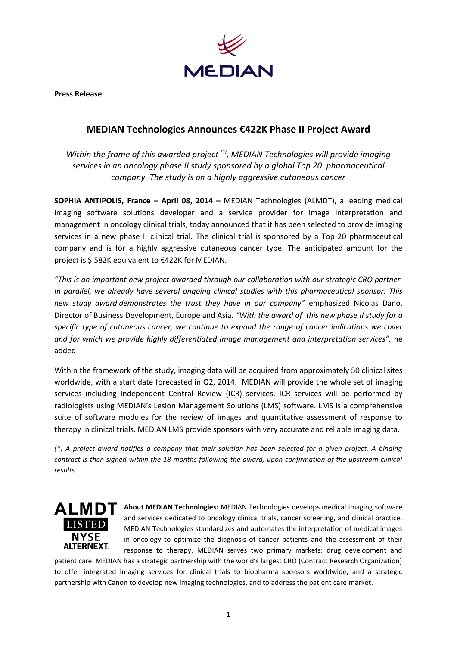

**Press Release**

## **MEDIAN Technologies Announces €422K Phase II Project Award**

*Within the frame of this awarded project (\*) , MEDIAN Technologies will provide imaging services in an oncology phase II study sponsored by a global Top 20 pharmaceutical company. The study is on a highly aggressive cutaneous cancer*

**SOPHIA ANTIPOLIS, France – April 08, 2014 –** MEDIAN Technologies (ALMDT), a leading medical imaging software solutions developer and a service provider for image interpretation and management in oncology clinical trials, today announced that it has been selected to provide imaging services in a new phase II clinical trial. The clinical trial is sponsored by a Top 20 pharmaceutical company and is for a highly aggressive cutaneous cancer type. The anticipated amount for the project is \$ 582K equivalent to €422K for MEDIAN.

*"This is an important new project awarded through our collaboration with our strategic CRO partner. In parallel, we already have several ongoing clinical studies with this pharmaceutical sponsor. This new study award demonstrates the trust they have in our company"* emphasized Nicolas Dano, Director of Business Development, Europe and Asia. *"With the award of this new phase II study for a specific type of cutaneous cancer, we continue to expand the range of cancer indications we cover and for which we provide highly differentiated image management and interpretation services",* he added

Within the framework of the study, imaging data will be acquired from approximately 50 clinical sites worldwide, with a start date forecasted in Q2, 2014. MEDIAN will provide the whole set of imaging services including Independent Central Review (ICR) services. ICR services will be performed by radiologists using MEDIAN's Lesion Management Solutions (LMS) software. LMS is a comprehensive suite of software modules for the review of images and quantitative assessment of response to therapy in clinical trials. MEDIAN LMS provide sponsors with very accurate and reliable imaging data.

*(\*) A project award notifies a company that their solution has been selected for a given project. A binding contract is then signed within the 18 months following the award, upon confirmation of the upstream clinical results.*



**ALMDT** About MEDIAN Technologies: MEDIAN Technologies develops medical imaging software and services dedicated to oncology clinical trials, cancer screening, and clinical practice. MEDIAN Technologies standardizes and automates the interpretation of medical images in oncology to optimize the diagnosis of cancer patients and the assessment of their response to therapy. MEDIAN serves two primary markets: drug development and

patient care. MEDIAN has a strategic partnership with the world's largest CRO (Contract Research Organization) to offer integrated imaging services for clinical trials to biopharma sponsors worldwide, and a strategic partnership with Canon to develop new imaging technologies, and to address the patient care market.